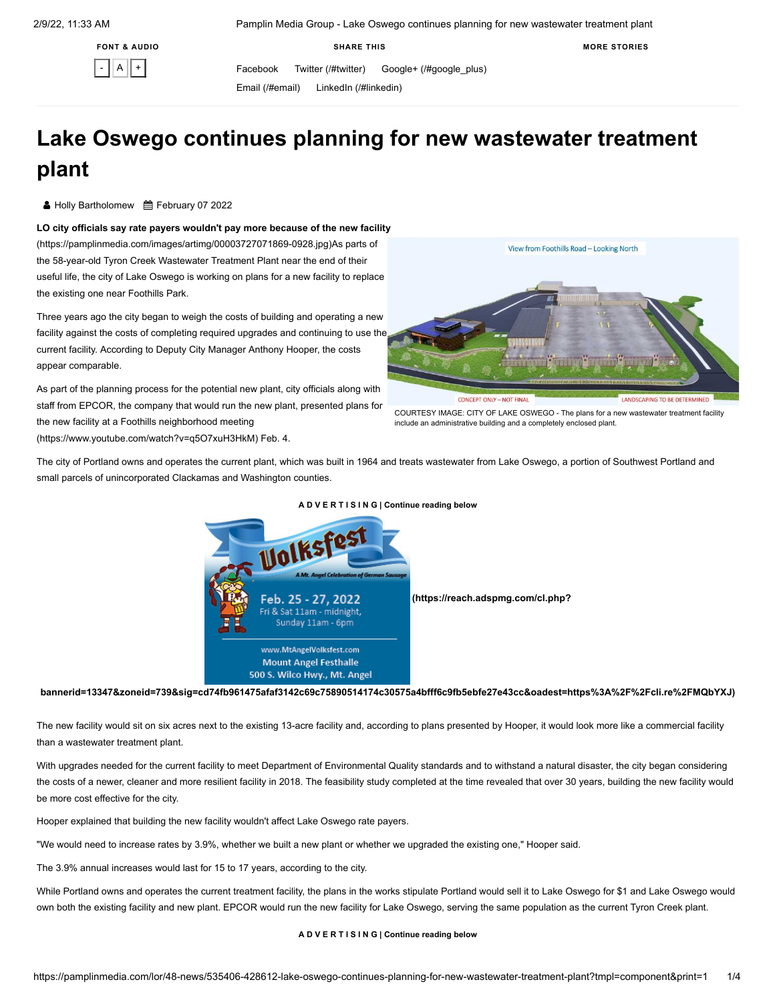**FONT & AUDIO**

 $\vert A \vert$ 

**SHARE THIS**

Facebook [Twitter \(/#twitter\)](https://pamplinmedia.com/#twitter) [Google+ \(/#google\\_plus\)](https://pamplinmedia.com/#google_plus)

[Email \(/#email\)](https://pamplinmedia.com/#email) [LinkedIn \(/#linkedin\)](https://pamplinmedia.com/#linkedin)

# **Lake Oswego continues planning for new wastewater treatment plant**

**& Holly Bartholomew**  曲 February 07 2022

<span id="page-0-1"></span>**LO city officials say rate payers wouldn't pay more because of the new facility** (https://pamplinmedia.com/images/artimg/00003727071869-0928.jpg)As parts of the 58-year-old Tyron Creek Wastewater Treatment Plant near the end of their useful life, the city of Lake Oswego is working on plans for a new facility to replace the existing one near Foothills Park.

Three years ago the city began to weigh the costs of building and operating a new [facility against the costs of completing required upgrades and continuing to use the](https://pamplinmedia.com/images/artimg/00003727071869-0928.jpg) current facility. According to Deputy City Manager Anthony Hooper, the costs appear comparable.

As part of the planning process for the potential new plant, city officials along with staff from EPCOR, the company that would run the new plant, presented plans for the new facility at a Foothills neighborhood meeting

[\(https://www.youtube.com/watch?v=q5O7xuH3HkM\)](https://www.youtube.com/watch?v=q5O7xuH3HkM) Feb. 4. The city of Portland owns and operates the current plant, which was built in 1964 and treats wastewater from Lake Oswego, a portion of Southwest Portland and

small parcels of unincorporated Clackamas and Washington counties.



### **[A D V E R T I S I N G | Continue reading below](#page-0-0)**

**[bannerid=13347&zoneid=739&sig=cd74fb961475afaf3142c69c75890514174c30575a4bfff6c9fb5ebfe27e43cc&oadest=https%3A%2F%2Fcli.re%2FMQbYXJ\)](https://reach.adspmg.com/cl.php?bannerid=13347&zoneid=739&sig=cd74fb961475afaf3142c69c75890514174c30575a4bfff6c9fb5ebfe27e43cc&oadest=https%3A%2F%2Fcli.re%2FMQbYXJ)**

<span id="page-0-0"></span>The new facility would sit on six acres next to the existing 13-acre facility and, according to plans presented by Hooper, it would look more like a commercial facility than a wastewater treatment plant.

With upgrades needed for the current facility to meet Department of Environmental Quality standards and to withstand a natural disaster, the city began considering the costs of a newer, cleaner and more resilient facility in 2018. The feasibility study completed at the time revealed that over 30 years, building the new facility would be more cost effective for the city.

Hooper explained that building the new facility wouldn't affect Lake Oswego rate payers.

"We would need to increase rates by 3.9%, whether we built a new plant or whether we upgraded the existing one," Hooper said.

The 3.9% annual increases would last for 15 to 17 years, according to the city.

While Portland owns and operates the current treatment facility, the plans in the works stipulate Portland would sell it to Lake Oswego for \$1 and Lake Oswego would own both the existing facility and new plant. EPCOR would run the new facility for Lake Oswego, serving the same population as the current Tyron Creek plant.

#### **[A D V E R T I S I N G | Continue reading below](#page-1-0)**



include an administrative building and a completely enclosed plant.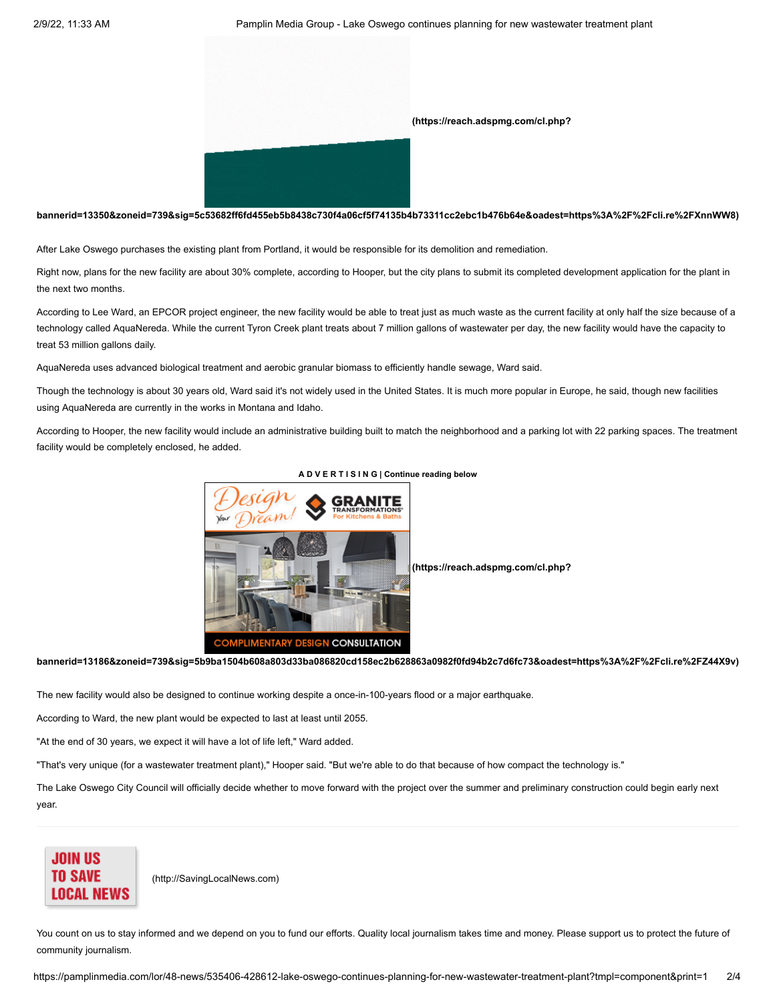

## **[bannerid=13350&zoneid=739&sig=5c53682ff6fd455eb5b8438c730f4a06cf5f74135b4b73311cc2ebc1b476b64e&oadest=https%3A%2F%2Fcli.re%2FXnnWW8\)](https://reach.adspmg.com/cl.php?bannerid=13350&zoneid=739&sig=5c53682ff6fd455eb5b8438c730f4a06cf5f74135b4b73311cc2ebc1b476b64e&oadest=https%3A%2F%2Fcli.re%2FXnnWW8)**

<span id="page-1-0"></span>After Lake Oswego purchases the existing plant from Portland, it would be responsible for its demolition and remediation.

Right now, plans for the new facility are about 30% complete, according to Hooper, but the city plans to submit its completed development application for the plant in the next two months.

According to Lee Ward, an EPCOR project engineer, the new facility would be able to treat just as much waste as the current facility at only half the size because of a technology called AquaNereda. While the current Tyron Creek plant treats about 7 million gallons of wastewater per day, the new facility would have the capacity to treat 53 million gallons daily.

AquaNereda uses advanced biological treatment and aerobic granular biomass to efficiently handle sewage, Ward said.

Though the technology is about 30 years old, Ward said it's not widely used in the United States. It is much more popular in Europe, he said, though new facilities using AquaNereda are currently in the works in Montana and Idaho.

According to Hooper, the new facility would include an administrative building built to match the neighborhood and a parking lot with 22 parking spaces. The treatment facility would be completely enclosed, he added.



#### **[A D V E R T I S I N G | Continue reading below](#page-1-1)**

 **(https://reach.adspmg.com/cl.php?**

**[bannerid=13186&zoneid=739&sig=5b9ba1504b608a803d33ba086820cd158ec2b628863a0982f0fd94b2c7d6fc73&oadest=https%3A%2F%2Fcli.re%2FZ44X9v\)](https://reach.adspmg.com/cl.php?bannerid=13186&zoneid=739&sig=5b9ba1504b608a803d33ba086820cd158ec2b628863a0982f0fd94b2c7d6fc73&oadest=https%3A%2F%2Fcli.re%2FZ44X9v)**

<span id="page-1-1"></span>The new facility would also be designed to continue working despite a once-in-100-years flood or a major earthquake.

According to Ward, the new plant would be expected to last at least until 2055.

"At the end of 30 years, we expect it will have a lot of life left," Ward added.

"That's very unique (for a wastewater treatment plant)," Hooper said. "But we're able to do that because of how compact the technology is."

The Lake Oswego City Council will officially decide whether to move forward with the project over the summer and preliminary construction could begin early next year.



 [\(http://SavingLocalNews.com\)](http://savinglocalnews.com/)

You count on us to stay informed and we depend on you to fund our efforts. Quality local journalism takes time and money. Please support us to protect the future of community journalism.

https://pamplinmedia.com/lor/48-news/535406-428612-lake-oswego-continues-planning-for-new-wastewater-treatment-plant?tmpl=component&print=1 2/4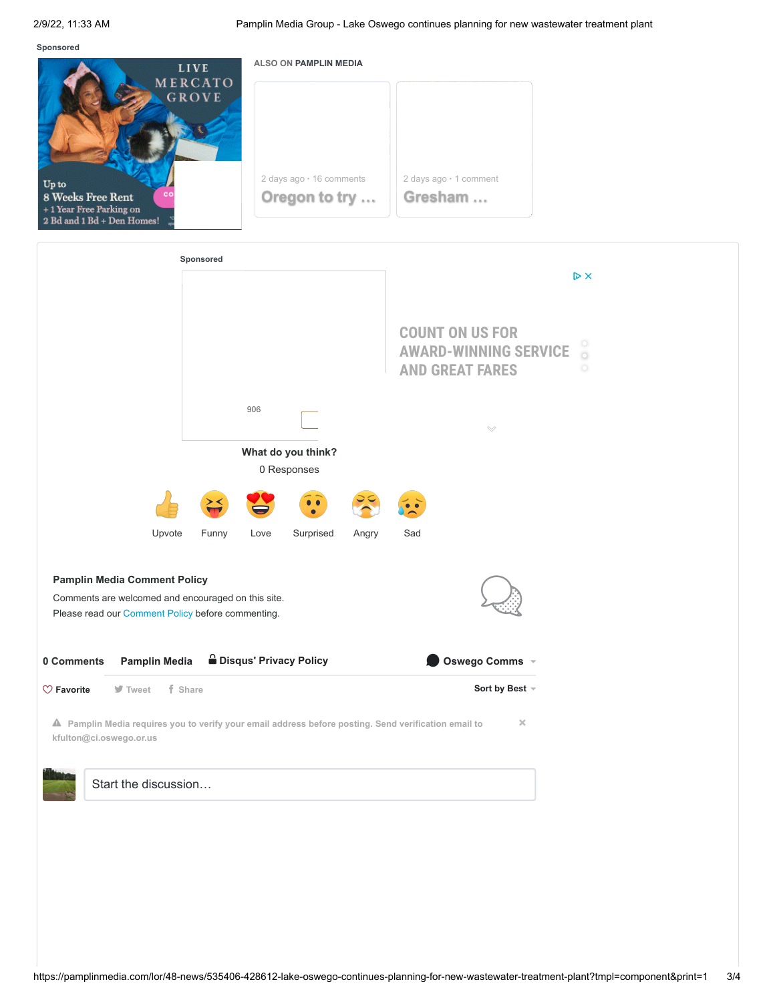**Sponsored**



| Sponsored                                                                                                                                      |       |      |           |       |                                                                                                                   |
|------------------------------------------------------------------------------------------------------------------------------------------------|-------|------|-----------|-------|-------------------------------------------------------------------------------------------------------------------|
|                                                                                                                                                |       |      |           |       | $\triangleright$ X                                                                                                |
|                                                                                                                                                |       |      |           |       | <b>COUNT ON US FOR</b><br>$\circ$<br><b>AWARD-WINNING SERVICE</b><br>$\circ$<br><b>AND GREAT FARES</b><br>$\circ$ |
|                                                                                                                                                |       | 906  |           |       | $\small\smile$                                                                                                    |
| What do you think?<br>0 Responses                                                                                                              |       |      |           |       |                                                                                                                   |
|                                                                                                                                                |       |      | $\bullet$ |       |                                                                                                                   |
| Upvote                                                                                                                                         | Funny | Love | Surprised | Angry | Sad                                                                                                               |
| <b>Pamplin Media Comment Policy</b><br>Comments are welcomed and encouraged on this site.<br>Please read our Comment Policy before commenting. |       |      |           |       |                                                                                                                   |
| <b>B</b> Disqus' Privacy Policy<br><b>Pamplin Media</b><br>0 Comments                                                                          |       |      |           |       | Oswego Comms v                                                                                                    |
| f Share<br>$\heartsuit$ Favorite<br>$\blacktriangleright$ Tweet                                                                                |       |      |           |       | Sort by Best -                                                                                                    |
| $\times$<br>A Pamplin Media requires you to verify your email address before posting. Send verification email to<br>kfulton@ci.oswego.or.us    |       |      |           |       |                                                                                                                   |
| Start the discussion                                                                                                                           |       |      |           |       |                                                                                                                   |
|                                                                                                                                                |       |      |           |       |                                                                                                                   |
|                                                                                                                                                |       |      |           |       |                                                                                                                   |
|                                                                                                                                                |       |      |           |       |                                                                                                                   |
|                                                                                                                                                |       |      |           |       |                                                                                                                   |
|                                                                                                                                                |       |      |           |       |                                                                                                                   |